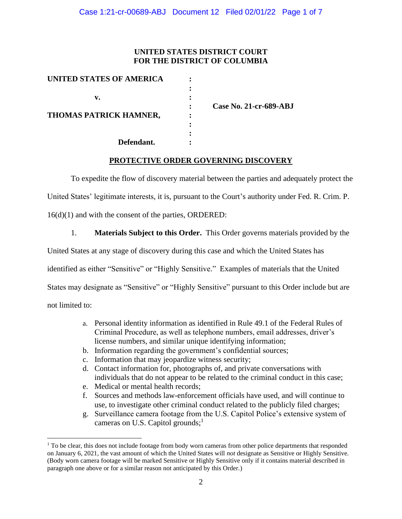### **UNITED STATES DISTRICT COURT FOR THE DISTRICT OF COLUMBIA**

| <b>UNITED STATES OF AMERICA</b> |  |
|---------------------------------|--|
|                                 |  |
| v.                              |  |
|                                 |  |
| THOMAS PATRICK HAMNER,          |  |
|                                 |  |
|                                 |  |
| Defendant.                      |  |

**: Case No. 21-cr-689-ABJ**

### **PROTECTIVE ORDER GOVERNING DISCOVERY**

To expedite the flow of discovery material between the parties and adequately protect the

United States' legitimate interests, it is, pursuant to the Court's authority under Fed. R. Crim. P.

16(d)(1) and with the consent of the parties, ORDERED:

1. **Materials Subject to this Order.** This Order governs materials provided by the

United States at any stage of discovery during this case and which the United States has

identified as either "Sensitive" or "Highly Sensitive." Examples of materials that the United

States may designate as "Sensitive" or "Highly Sensitive" pursuant to this Order include but are

not limited to:

- a. Personal identity information as identified in Rule 49.1 of the Federal Rules of Criminal Procedure, as well as telephone numbers, email addresses, driver's license numbers, and similar unique identifying information;
- b. Information regarding the government's confidential sources;
- c. Information that may jeopardize witness security;
- d. Contact information for, photographs of, and private conversations with individuals that do not appear to be related to the criminal conduct in this case;
- e. Medical or mental health records;
- f. Sources and methods law-enforcement officials have used, and will continue to use, to investigate other criminal conduct related to the publicly filed charges;
- g. Surveillance camera footage from the U.S. Capitol Police's extensive system of cameras on U.S. Capitol grounds;<sup>1</sup>

 $<sup>1</sup>$  To be clear, this does not include footage from body worn cameras from other police departments that responded</sup> on January 6, 2021, the vast amount of which the United States will *not* designate as Sensitive or Highly Sensitive. (Body worn camera footage will be marked Sensitive or Highly Sensitive only if it contains material described in paragraph one above or for a similar reason not anticipated by this Order.)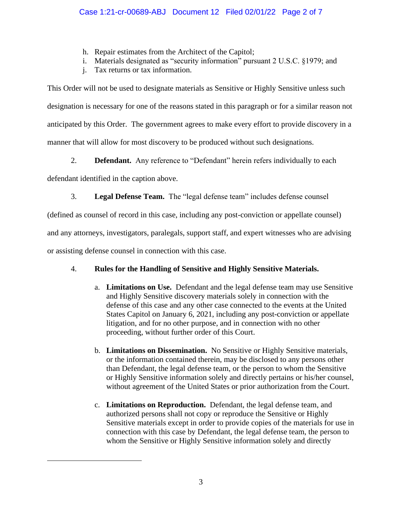- h. Repair estimates from the Architect of the Capitol;
- i. Materials designated as "security information" pursuant 2 U.S.C. §1979; and
- j. Tax returns or tax information.

This Order will not be used to designate materials as Sensitive or Highly Sensitive unless such designation is necessary for one of the reasons stated in this paragraph or for a similar reason not anticipated by this Order. The government agrees to make every effort to provide discovery in a manner that will allow for most discovery to be produced without such designations.

2. **Defendant.** Any reference to "Defendant" herein refers individually to each

defendant identified in the caption above.

3. **Legal Defense Team.** The "legal defense team" includes defense counsel

(defined as counsel of record in this case, including any post-conviction or appellate counsel)

and any attorneys, investigators, paralegals, support staff, and expert witnesses who are advising

or assisting defense counsel in connection with this case.

# 4. **Rules for the Handling of Sensitive and Highly Sensitive Materials.**

- a. **Limitations on Use.** Defendant and the legal defense team may use Sensitive and Highly Sensitive discovery materials solely in connection with the defense of this case and any other case connected to the events at the United States Capitol on January 6, 2021, including any post-conviction or appellate litigation, and for no other purpose, and in connection with no other proceeding, without further order of this Court.
- b. **Limitations on Dissemination.** No Sensitive or Highly Sensitive materials, or the information contained therein, may be disclosed to any persons other than Defendant, the legal defense team, or the person to whom the Sensitive or Highly Sensitive information solely and directly pertains or his/her counsel, without agreement of the United States or prior authorization from the Court.
- c. **Limitations on Reproduction.** Defendant, the legal defense team, and authorized persons shall not copy or reproduce the Sensitive or Highly Sensitive materials except in order to provide copies of the materials for use in connection with this case by Defendant, the legal defense team, the person to whom the Sensitive or Highly Sensitive information solely and directly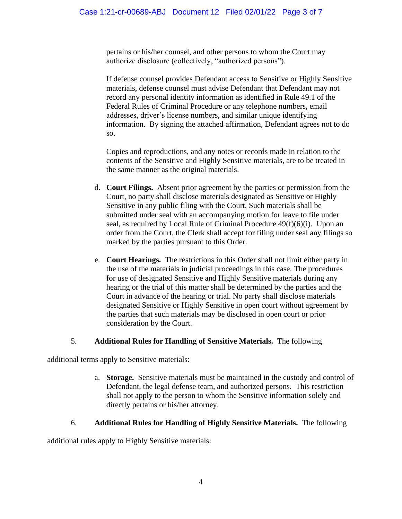pertains or his/her counsel, and other persons to whom the Court may authorize disclosure (collectively, "authorized persons").

If defense counsel provides Defendant access to Sensitive or Highly Sensitive materials, defense counsel must advise Defendant that Defendant may not record any personal identity information as identified in Rule 49.1 of the Federal Rules of Criminal Procedure or any telephone numbers, email addresses, driver's license numbers, and similar unique identifying information. By signing the attached affirmation, Defendant agrees not to do so.

Copies and reproductions, and any notes or records made in relation to the contents of the Sensitive and Highly Sensitive materials, are to be treated in the same manner as the original materials.

- d. **Court Filings.** Absent prior agreement by the parties or permission from the Court, no party shall disclose materials designated as Sensitive or Highly Sensitive in any public filing with the Court. Such materials shall be submitted under seal with an accompanying motion for leave to file under seal, as required by Local Rule of Criminal Procedure 49(f)(6)(i). Upon an order from the Court, the Clerk shall accept for filing under seal any filings so marked by the parties pursuant to this Order.
- e. **Court Hearings.** The restrictions in this Order shall not limit either party in the use of the materials in judicial proceedings in this case. The procedures for use of designated Sensitive and Highly Sensitive materials during any hearing or the trial of this matter shall be determined by the parties and the Court in advance of the hearing or trial. No party shall disclose materials designated Sensitive or Highly Sensitive in open court without agreement by the parties that such materials may be disclosed in open court or prior consideration by the Court.

# 5. **Additional Rules for Handling of Sensitive Materials.** The following

additional terms apply to Sensitive materials:

a. **Storage.** Sensitive materials must be maintained in the custody and control of Defendant, the legal defense team, and authorized persons. This restriction shall not apply to the person to whom the Sensitive information solely and directly pertains or his/her attorney.

# 6. **Additional Rules for Handling of Highly Sensitive Materials.** The following

additional rules apply to Highly Sensitive materials: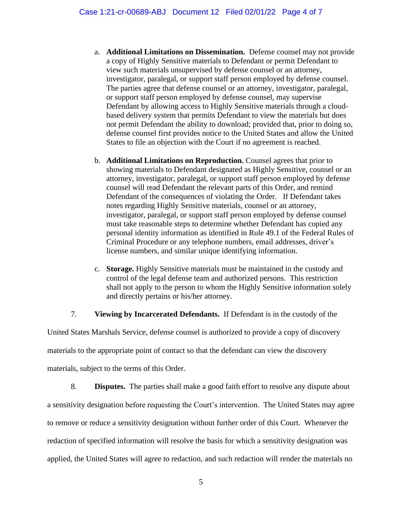- a. **Additional Limitations on Dissemination.** Defense counsel may not provide a copy of Highly Sensitive materials to Defendant or permit Defendant to view such materials unsupervised by defense counsel or an attorney, investigator, paralegal, or support staff person employed by defense counsel. The parties agree that defense counsel or an attorney, investigator, paralegal, or support staff person employed by defense counsel, may supervise Defendant by allowing access to Highly Sensitive materials through a cloudbased delivery system that permits Defendant to view the materials but does not permit Defendant the ability to download; provided that, prior to doing so, defense counsel first provides notice to the United States and allow the United States to file an objection with the Court if no agreement is reached.
- b. **Additional Limitations on Reproduction.** Counsel agrees that prior to showing materials to Defendant designated as Highly Sensitive, counsel or an attorney, investigator, paralegal, or support staff person employed by defense counsel will read Defendant the relevant parts of this Order, and remind Defendant of the consequences of violating the Order. If Defendant takes notes regarding Highly Sensitive materials, counsel or an attorney, investigator, paralegal, or support staff person employed by defense counsel must take reasonable steps to determine whether Defendant has copied any personal identity information as identified in Rule 49.1 of the Federal Rules of Criminal Procedure or any telephone numbers, email addresses, driver's license numbers, and similar unique identifying information.
- c. **Storage.** Highly Sensitive materials must be maintained in the custody and control of the legal defense team and authorized persons. This restriction shall not apply to the person to whom the Highly Sensitive information solely and directly pertains or his/her attorney.

7. **Viewing by Incarcerated Defendants.** If Defendant is in the custody of the

United States Marshals Service, defense counsel is authorized to provide a copy of discovery materials to the appropriate point of contact so that the defendant can view the discovery materials, subject to the terms of this Order.

8. **Disputes.** The parties shall make a good faith effort to resolve any dispute about a sensitivity designation before requesting the Court's intervention. The United States may agree to remove or reduce a sensitivity designation without further order of this Court. Whenever the redaction of specified information will resolve the basis for which a sensitivity designation was applied, the United States will agree to redaction, and such redaction will render the materials no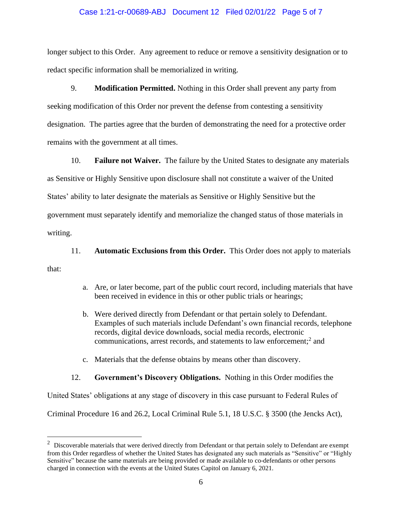#### Case 1:21-cr-00689-ABJ Document 12 Filed 02/01/22 Page 5 of 7

longer subject to this Order. Any agreement to reduce or remove a sensitivity designation or to redact specific information shall be memorialized in writing.

9. **Modification Permitted.** Nothing in this Order shall prevent any party from seeking modification of this Order nor prevent the defense from contesting a sensitivity designation. The parties agree that the burden of demonstrating the need for a protective order remains with the government at all times.

10. **Failure not Waiver.** The failure by the United States to designate any materials as Sensitive or Highly Sensitive upon disclosure shall not constitute a waiver of the United States' ability to later designate the materials as Sensitive or Highly Sensitive but the government must separately identify and memorialize the changed status of those materials in writing.

11. **Automatic Exclusions from this Order.** This Order does not apply to materials

that:

- a. Are, or later become, part of the public court record, including materials that have been received in evidence in this or other public trials or hearings;
- b. Were derived directly from Defendant or that pertain solely to Defendant. Examples of such materials include Defendant's own financial records, telephone records, digital device downloads, social media records, electronic communications, arrest records, and statements to law enforcement;<sup>2</sup> and
- c. Materials that the defense obtains by means other than discovery.

#### 12. **Government's Discovery Obligations.** Nothing in this Order modifies the

United States' obligations at any stage of discovery in this case pursuant to Federal Rules of

Criminal Procedure 16 and 26.2, Local Criminal Rule 5.1, 18 U.S.C. § 3500 (the Jencks Act),

 $2$  Discoverable materials that were derived directly from Defendant or that pertain solely to Defendant are exempt from this Order regardless of whether the United States has designated any such materials as "Sensitive" or "Highly Sensitive" because the same materials are being provided or made available to co-defendants or other persons charged in connection with the events at the United States Capitol on January 6, 2021.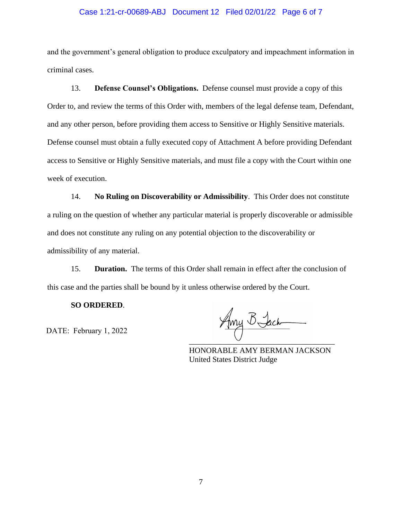#### Case 1:21-cr-00689-ABJ Document 12 Filed 02/01/22 Page 6 of 7

and the government's general obligation to produce exculpatory and impeachment information in criminal cases.

13. **Defense Counsel's Obligations.** Defense counsel must provide a copy of this Order to, and review the terms of this Order with, members of the legal defense team, Defendant, and any other person, before providing them access to Sensitive or Highly Sensitive materials. Defense counsel must obtain a fully executed copy of Attachment A before providing Defendant access to Sensitive or Highly Sensitive materials, and must file a copy with the Court within one week of execution.

14. **No Ruling on Discoverability or Admissibility**. This Order does not constitute a ruling on the question of whether any particular material is properly discoverable or admissible and does not constitute any ruling on any potential objection to the discoverability or admissibility of any material.

15. **Duration.** The terms of this Order shall remain in effect after the conclusion of this case and the parties shall be bound by it unless otherwise ordered by the Court.

#### **SO ORDERED**.

DATE: February 1, 2022

Amy B Jack

HONORABLE AMY BERMAN JACKSON United States District Judge